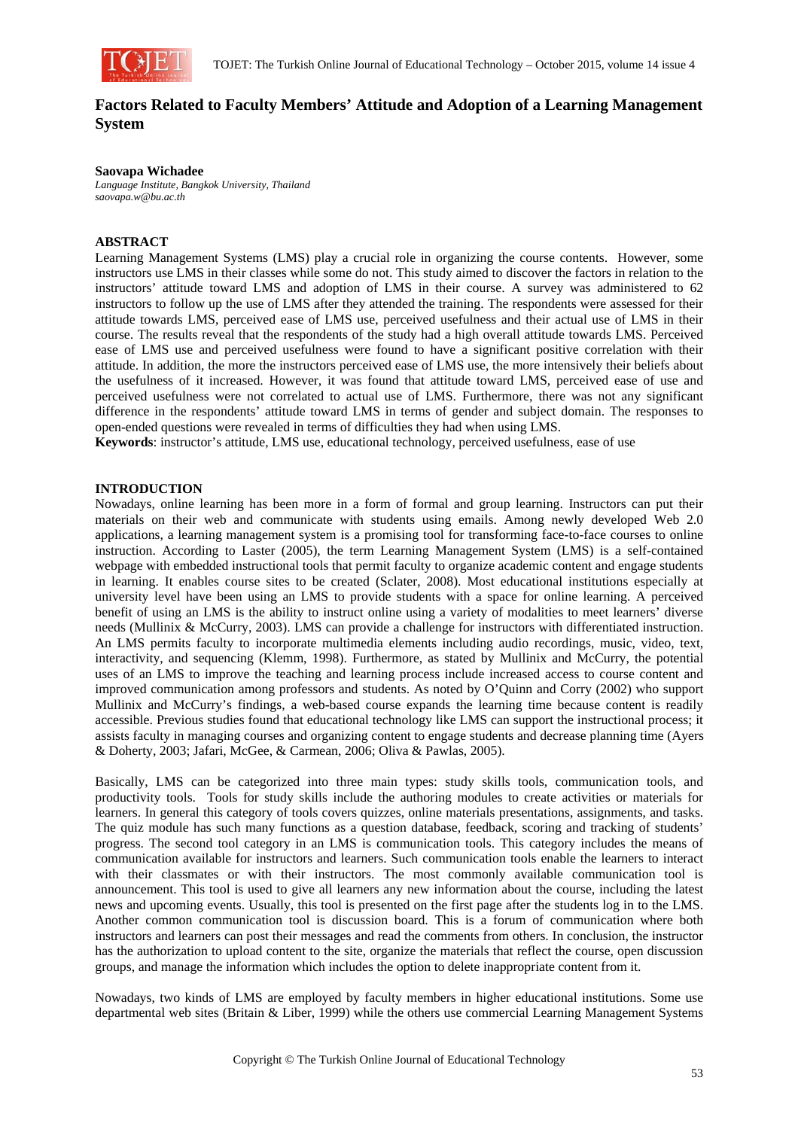

# **Factors Related to Faculty Members' Attitude and Adoption of a Learning Management System**

#### **Saovapa Wichadee**

*Language Institute, Bangkok University, Thailand saovapa.w@bu.ac.th* 

### **ABSTRACT**

Learning Management Systems (LMS) play a crucial role in organizing the course contents. However, some instructors use LMS in their classes while some do not. This study aimed to discover the factors in relation to the instructors' attitude toward LMS and adoption of LMS in their course. A survey was administered to 62 instructors to follow up the use of LMS after they attended the training. The respondents were assessed for their attitude towards LMS, perceived ease of LMS use, perceived usefulness and their actual use of LMS in their course. The results reveal that the respondents of the study had a high overall attitude towards LMS. Perceived ease of LMS use and perceived usefulness were found to have a significant positive correlation with their attitude. In addition, the more the instructors perceived ease of LMS use, the more intensively their beliefs about the usefulness of it increased. However, it was found that attitude toward LMS, perceived ease of use and perceived usefulness were not correlated to actual use of LMS. Furthermore, there was not any significant difference in the respondents' attitude toward LMS in terms of gender and subject domain. The responses to open-ended questions were revealed in terms of difficulties they had when using LMS.

**Keywords**: instructor's attitude, LMS use, educational technology, perceived usefulness, ease of use

#### **INTRODUCTION**

Nowadays, online learning has been more in a form of formal and group learning. Instructors can put their materials on their web and communicate with students using emails. Among newly developed Web 2.0 applications, a learning management system is a promising tool for transforming face-to-face courses to online instruction. According to Laster (2005), the term Learning Management System (LMS) is a self-contained webpage with embedded instructional tools that permit faculty to organize academic content and engage students in learning. It enables course sites to be created (Sclater, 2008). Most educational institutions especially at university level have been using an LMS to provide students with a space for online learning. A perceived benefit of using an LMS is the ability to instruct online using a variety of modalities to meet learners' diverse needs (Mullinix & McCurry, 2003). LMS can provide a challenge for instructors with differentiated instruction. An LMS permits faculty to incorporate multimedia elements including audio recordings, music, video, text, interactivity, and sequencing (Klemm, 1998). Furthermore, as stated by Mullinix and McCurry, the potential uses of an LMS to improve the teaching and learning process include increased access to course content and improved communication among professors and students. As noted by O'Quinn and Corry (2002) who support Mullinix and McCurry's findings, a web-based course expands the learning time because content is readily accessible. Previous studies found that educational technology like LMS can support the instructional process; it assists faculty in managing courses and organizing content to engage students and decrease planning time (Ayers & Doherty, 2003; Jafari, McGee, & Carmean, 2006; Oliva & Pawlas, 2005).

Basically, LMS can be categorized into three main types: study skills tools, communication tools, and productivity tools. Tools for study skills include the authoring modules to create activities or materials for learners. In general this category of tools covers quizzes, online materials presentations, assignments, and tasks. The quiz module has such many functions as a question database, feedback, scoring and tracking of students' progress. The second tool category in an LMS is communication tools. This category includes the means of communication available for instructors and learners. Such communication tools enable the learners to interact with their classmates or with their instructors. The most commonly available communication tool is announcement. This tool is used to give all learners any new information about the course, including the latest news and upcoming events. Usually, this tool is presented on the first page after the students log in to the LMS. Another common communication tool is discussion board. This is a forum of communication where both instructors and learners can post their messages and read the comments from others. In conclusion, the instructor has the authorization to upload content to the site, organize the materials that reflect the course, open discussion groups, and manage the information which includes the option to delete inappropriate content from it.

Nowadays, two kinds of LMS are employed by faculty members in higher educational institutions. Some use departmental web sites (Britain & Liber, 1999) while the others use commercial Learning Management Systems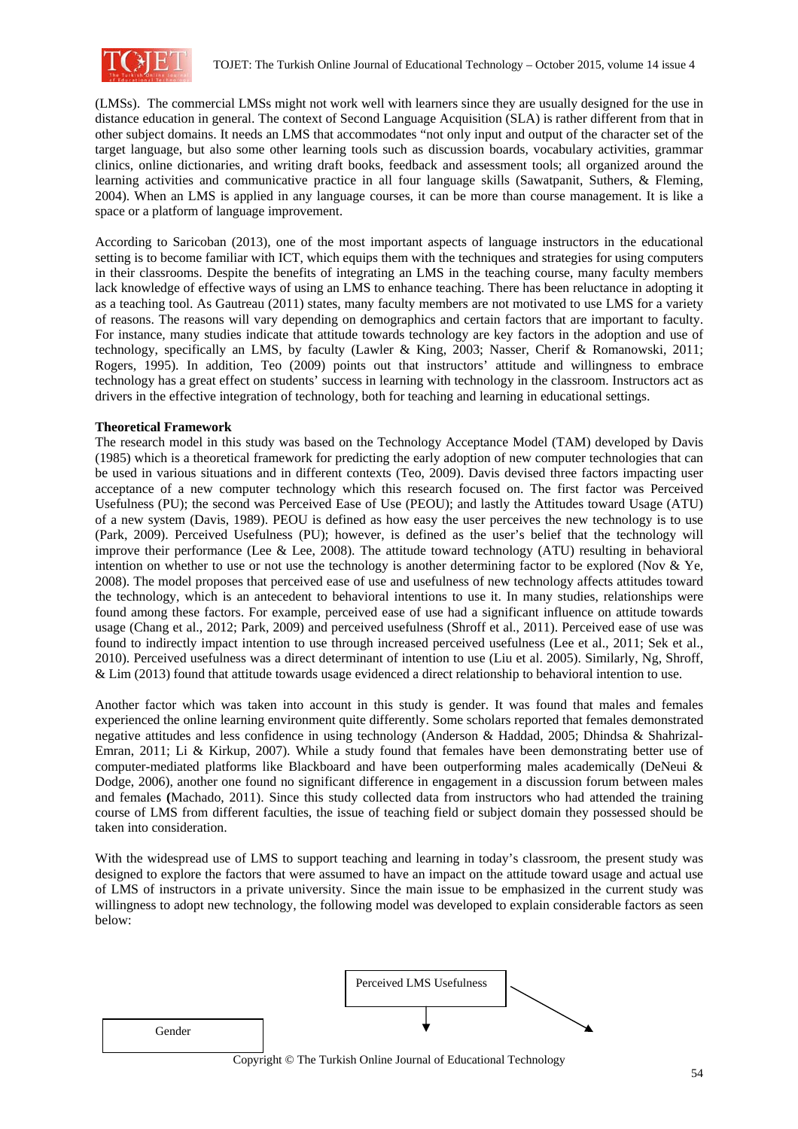

(LMSs). The commercial LMSs might not work well with learners since they are usually designed for the use in distance education in general. The context of Second Language Acquisition (SLA) is rather different from that in other subject domains. It needs an LMS that accommodates "not only input and output of the character set of the target language, but also some other learning tools such as discussion boards, vocabulary activities, grammar clinics, online dictionaries, and writing draft books, feedback and assessment tools; all organized around the learning activities and communicative practice in all four language skills (Sawatpanit, Suthers, & Fleming, 2004). When an LMS is applied in any language courses, it can be more than course management. It is like a space or a platform of language improvement.

According to Saricoban (2013), one of the most important aspects of language instructors in the educational setting is to become familiar with ICT, which equips them with the techniques and strategies for using computers in their classrooms. Despite the benefits of integrating an LMS in the teaching course, many faculty members lack knowledge of effective ways of using an LMS to enhance teaching. There has been reluctance in adopting it as a teaching tool. As Gautreau (2011) states, many faculty members are not motivated to use LMS for a variety of reasons. The reasons will vary depending on demographics and certain factors that are important to faculty. For instance, many studies indicate that attitude towards technology are key factors in the adoption and use of technology, specifically an LMS, by faculty (Lawler & King, 2003; Nasser, Cherif & Romanowski, 2011; Rogers, 1995). In addition, Teo (2009) points out that instructors' attitude and willingness to embrace technology has a great effect on students' success in learning with technology in the classroom. Instructors act as drivers in the effective integration of technology, both for teaching and learning in educational settings.

## **Theoretical Framework**

The research model in this study was based on the Technology Acceptance Model (TAM) developed by Davis (1985) which is a theoretical framework for predicting the early adoption of new computer technologies that can be used in various situations and in different contexts (Teo, 2009). Davis devised three factors impacting user acceptance of a new computer technology which this research focused on. The first factor was Perceived Usefulness (PU); the second was Perceived Ease of Use (PEOU); and lastly the Attitudes toward Usage (ATU) of a new system (Davis, 1989). PEOU is defined as how easy the user perceives the new technology is to use (Park, 2009). Perceived Usefulness (PU); however, is defined as the user's belief that the technology will improve their performance (Lee  $\&$  Lee, 2008). The attitude toward technology (ATU) resulting in behavioral intention on whether to use or not use the technology is another determining factor to be explored (Nov  $& Ye$ , 2008). The model proposes that perceived ease of use and usefulness of new technology affects attitudes toward the technology, which is an antecedent to behavioral intentions to use it. In many studies, relationships were found among these factors. For example, perceived ease of use had a significant influence on attitude towards usage (Chang et al., 2012; Park, 2009) and perceived usefulness (Shroff et al., 2011). Perceived ease of use was found to indirectly impact intention to use through increased perceived usefulness (Lee et al., 2011; Sek et al., 2010). Perceived usefulness was a direct determinant of intention to use (Liu et al. 2005). Similarly, Ng, Shroff, & Lim (2013) found that attitude towards usage evidenced a direct relationship to behavioral intention to use.

Another factor which was taken into account in this study is gender. It was found that males and females experienced the online learning environment quite differently. Some scholars reported that females demonstrated negative attitudes and less confidence in using technology (Anderson & Haddad, 2005; Dhindsa & Shahrizal-Emran, 2011; Li & Kirkup, 2007). While a study found that females have been demonstrating better use of computer-mediated platforms like Blackboard and have been outperforming males academically (DeNeui & Dodge, 2006), another one found no significant difference in engagement in a discussion forum between males and females **(**Machado, 2011). Since this study collected data from instructors who had attended the training course of LMS from different faculties, the issue of teaching field or subject domain they possessed should be taken into consideration.

With the widespread use of LMS to support teaching and learning in today's classroom, the present study was designed to explore the factors that were assumed to have an impact on the attitude toward usage and actual use of LMS of instructors in a private university. Since the main issue to be emphasized in the current study was willingness to adopt new technology, the following model was developed to explain considerable factors as seen below:

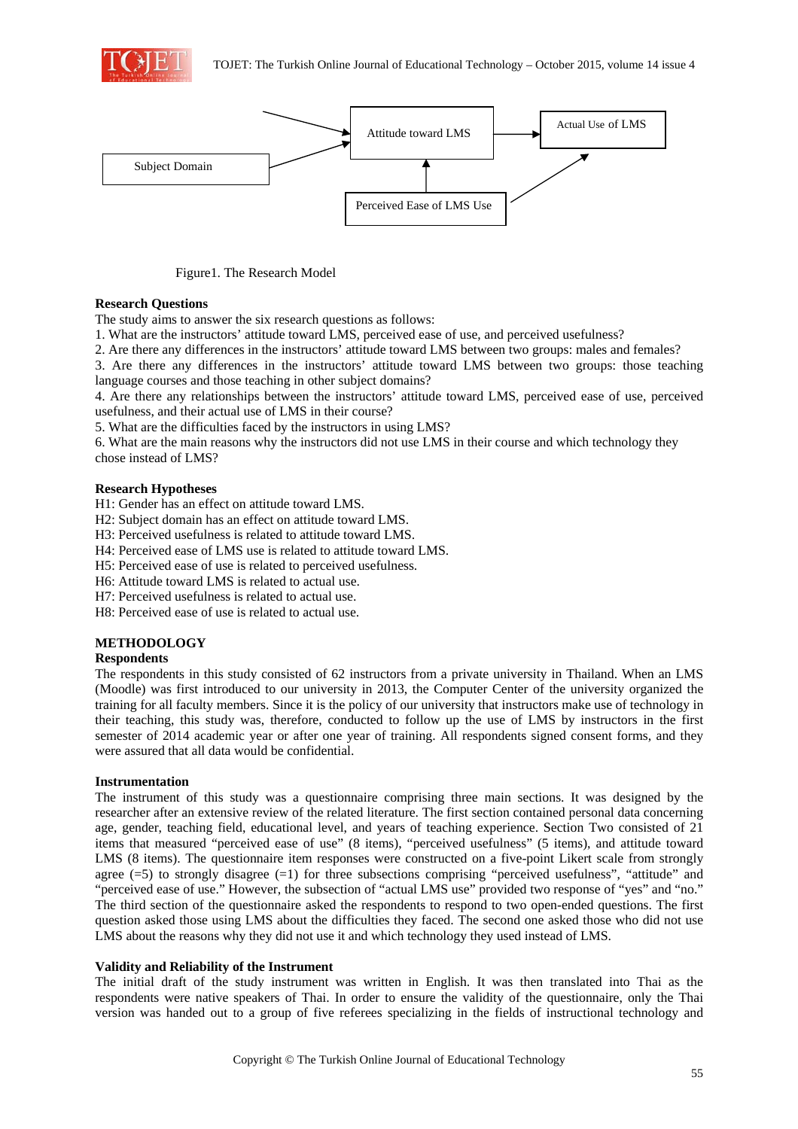



Figure1. The Research Model

### **Research Questions**

The study aims to answer the six research questions as follows:

1. What are the instructors' attitude toward LMS, perceived ease of use, and perceived usefulness?

2. Are there any differences in the instructors' attitude toward LMS between two groups: males and females?

3. Are there any differences in the instructors' attitude toward LMS between two groups: those teaching language courses and those teaching in other subject domains?

4. Are there any relationships between the instructors' attitude toward LMS, perceived ease of use, perceived usefulness, and their actual use of LMS in their course?

5. What are the difficulties faced by the instructors in using LMS?

6. What are the main reasons why the instructors did not use LMS in their course and which technology they chose instead of LMS?

### **Research Hypotheses**

H1: Gender has an effect on attitude toward LMS.

- H2: Subject domain has an effect on attitude toward LMS.
- H3: Perceived usefulness is related to attitude toward LMS.
- H4: Perceived ease of LMS use is related to attitude toward LMS.
- H5: Perceived ease of use is related to perceived usefulness.
- H6: Attitude toward LMS is related to actual use.
- H7: Perceived usefulness is related to actual use.

H8: Perceived ease of use is related to actual use.

## **METHODOLOGY**

#### **Respondents**

The respondents in this study consisted of 62 instructors from a private university in Thailand. When an LMS (Moodle) was first introduced to our university in 2013, the Computer Center of the university organized the training for all faculty members. Since it is the policy of our university that instructors make use of technology in their teaching, this study was, therefore, conducted to follow up the use of LMS by instructors in the first semester of 2014 academic year or after one year of training. All respondents signed consent forms, and they were assured that all data would be confidential.

## **Instrumentation**

The instrument of this study was a questionnaire comprising three main sections. It was designed by the researcher after an extensive review of the related literature. The first section contained personal data concerning age, gender, teaching field, educational level, and years of teaching experience. Section Two consisted of 21 items that measured "perceived ease of use" (8 items), "perceived usefulness" (5 items), and attitude toward LMS (8 items). The questionnaire item responses were constructed on a five-point Likert scale from strongly agree (=5) to strongly disagree (=1) for three subsections comprising "perceived usefulness", "attitude" and "perceived ease of use." However, the subsection of "actual LMS use" provided two response of "yes" and "no." The third section of the questionnaire asked the respondents to respond to two open-ended questions. The first question asked those using LMS about the difficulties they faced. The second one asked those who did not use LMS about the reasons why they did not use it and which technology they used instead of LMS.

## **Validity and Reliability of the Instrument**

The initial draft of the study instrument was written in English. It was then translated into Thai as the respondents were native speakers of Thai. In order to ensure the validity of the questionnaire, only the Thai version was handed out to a group of five referees specializing in the fields of instructional technology and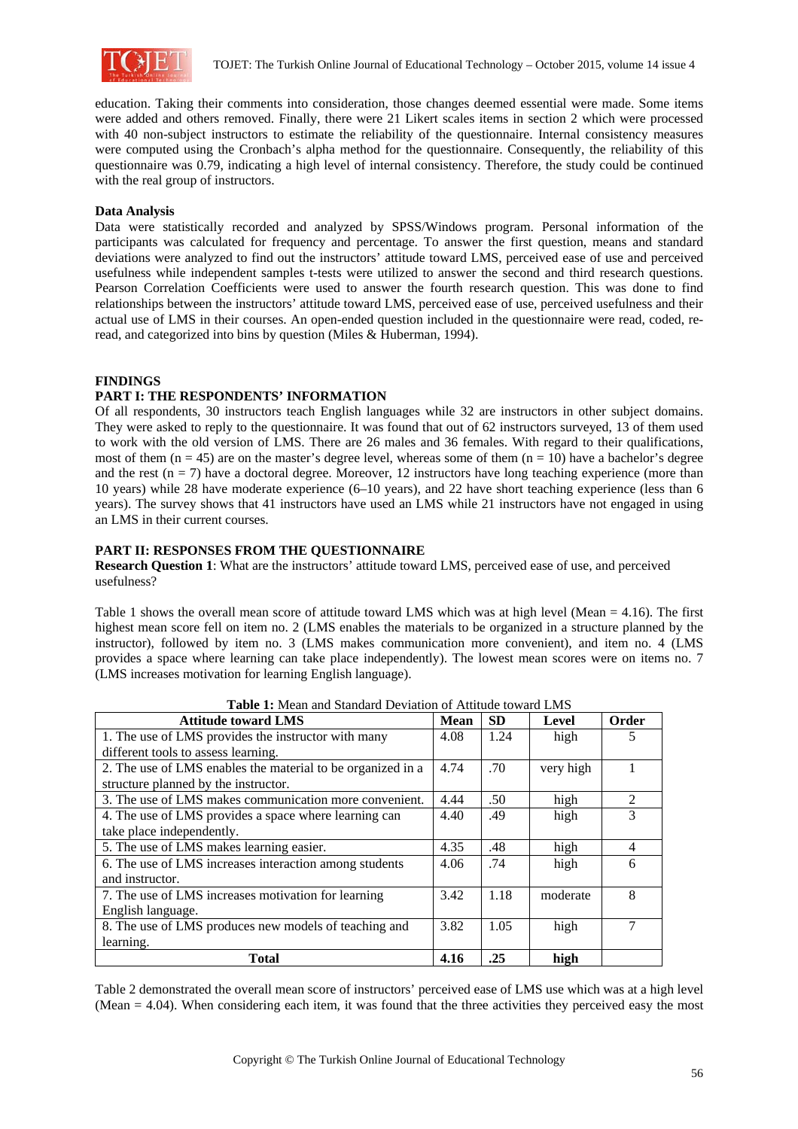

education. Taking their comments into consideration, those changes deemed essential were made. Some items were added and others removed. Finally, there were 21 Likert scales items in section 2 which were processed with 40 non-subject instructors to estimate the reliability of the questionnaire. Internal consistency measures were computed using the Cronbach's alpha method for the questionnaire. Consequently, the reliability of this questionnaire was 0.79, indicating a high level of internal consistency. Therefore, the study could be continued with the real group of instructors.

### **Data Analysis**

Data were statistically recorded and analyzed by SPSS/Windows program. Personal information of the participants was calculated for frequency and percentage. To answer the first question, means and standard deviations were analyzed to find out the instructors' attitude toward LMS, perceived ease of use and perceived usefulness while independent samples t-tests were utilized to answer the second and third research questions. Pearson Correlation Coefficients were used to answer the fourth research question. This was done to find relationships between the instructors' attitude toward LMS, perceived ease of use, perceived usefulness and their actual use of LMS in their courses. An open-ended question included in the questionnaire were read, coded, reread, and categorized into bins by question (Miles & Huberman, 1994).

### **FINDINGS**

## **PART I: THE RESPONDENTS' INFORMATION**

Of all respondents, 30 instructors teach English languages while 32 are instructors in other subject domains. They were asked to reply to the questionnaire. It was found that out of 62 instructors surveyed, 13 of them used to work with the old version of LMS. There are 26 males and 36 females. With regard to their qualifications, most of them  $(n = 45)$  are on the master's degree level, whereas some of them  $(n = 10)$  have a bachelor's degree and the rest ( $n = 7$ ) have a doctoral degree. Moreover, 12 instructors have long teaching experience (more than 10 years) while 28 have moderate experience (6–10 years), and 22 have short teaching experience (less than 6 years). The survey shows that 41 instructors have used an LMS while 21 instructors have not engaged in using an LMS in their current courses.

### **PART II: RESPONSES FROM THE QUESTIONNAIRE**

**Research Question 1**: What are the instructors' attitude toward LMS, perceived ease of use, and perceived usefulness?

Table 1 shows the overall mean score of attitude toward LMS which was at high level (Mean = 4.16). The first highest mean score fell on item no. 2 (LMS enables the materials to be organized in a structure planned by the instructor), followed by item no. 3 (LMS makes communication more convenient), and item no. 4 (LMS provides a space where learning can take place independently). The lowest mean scores were on items no. 7 (LMS increases motivation for learning English language).

| <b>Attitude toward LMS</b>                                  | Mean | <b>SD</b> | Level     | Order          |
|-------------------------------------------------------------|------|-----------|-----------|----------------|
| 1. The use of LMS provides the instructor with many         | 4.08 | 1.24      | high      |                |
| different tools to assess learning.                         |      |           |           |                |
| 2. The use of LMS enables the material to be organized in a | 4.74 | .70       | very high |                |
| structure planned by the instructor.                        |      |           |           |                |
| 3. The use of LMS makes communication more convenient.      | 4.44 | .50       | high      | $\mathfrak{D}$ |
| 4. The use of LMS provides a space where learning can       |      | .49       | high      | 3              |
| take place independently.                                   |      |           |           |                |
| 5. The use of LMS makes learning easier.                    | 4.35 | .48       | high      | 4              |
| 6. The use of LMS increases interaction among students      |      | .74       | high      | 6              |
| and instructor.                                             |      |           |           |                |
| 7. The use of LMS increases motivation for learning         | 3.42 | 1.18      | moderate  | 8              |
| English language.                                           |      |           |           |                |
| 8. The use of LMS produces new models of teaching and       | 3.82 | 1.05      | high      |                |
| learning.                                                   |      |           |           |                |
| <b>Total</b>                                                | 4.16 | .25       | high      |                |

**Table 1:** Mean and Standard Deviation of Attitude toward LMS

Table 2 demonstrated the overall mean score of instructors' perceived ease of LMS use which was at a high level (Mean = 4.04). When considering each item, it was found that the three activities they perceived easy the most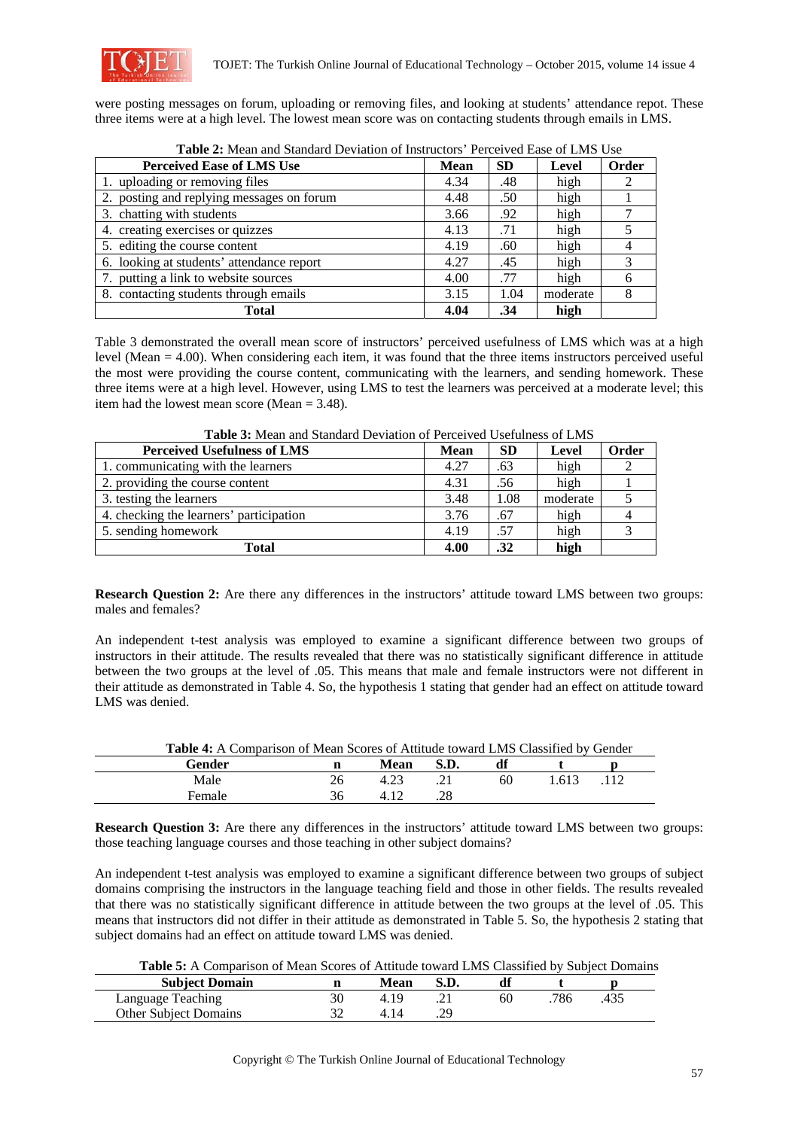

were posting messages on forum, uploading or removing files, and looking at students' attendance repot. These three items were at a high level. The lowest mean score was on contacting students through emails in LMS.

| <b>Perceived Ease of LMS Use</b>          | <b>Mean</b> | <b>SD</b> | Level    | Order |
|-------------------------------------------|-------------|-----------|----------|-------|
| 1. uploading or removing files            | 4.34        | .48       | high     |       |
| 2. posting and replying messages on forum | 4.48        | .50       | high     |       |
| 3. chatting with students                 | 3.66        | .92       | high     |       |
| 4. creating exercises or quizzes          | 4.13        | .71       | high     |       |
| 5. editing the course content             | 4.19        | .60       | high     |       |
| 6. looking at students' attendance report | 4.27        | .45       | high     |       |
| 7. putting a link to website sources      | 4.00        | .77       | high     | 6     |
| 8. contacting students through emails     | 3.15        | 1.04      | moderate | 8     |
| Total                                     | 4.04        | .34       | high     |       |

**Table 2:** Mean and Standard Deviation of Instructors' Perceived Ease of LMS Use

Table 3 demonstrated the overall mean score of instructors' perceived usefulness of LMS which was at a high level (Mean = 4.00). When considering each item, it was found that the three items instructors perceived useful the most were providing the course content, communicating with the learners, and sending homework. These three items were at a high level. However, using LMS to test the learners was perceived at a moderate level; this item had the lowest mean score (Mean = 3.48).

| <b>Perceived Usefulness of LMS</b>      | <b>Mean</b> | <b>SD</b> | Level    | Order |  |  |  |
|-----------------------------------------|-------------|-----------|----------|-------|--|--|--|
| 1. communicating with the learners      | 4.27        | .63       | high     |       |  |  |  |
| 2. providing the course content         | 4.31        | .56       | high     |       |  |  |  |
| 3. testing the learners                 | 3.48        | 1.08      | moderate |       |  |  |  |
| 4. checking the learners' participation | 3.76        | .67       | high     |       |  |  |  |
| 5. sending homework                     | 4.19        | .57       | high     |       |  |  |  |
| Total                                   | 4.00        | .32       | high     |       |  |  |  |

**Table 3:** Mean and Standard Deviation of Perceived Usefulness of LMS

**Research Question 2:** Are there any differences in the instructors' attitude toward LMS between two groups: males and females?

An independent t-test analysis was employed to examine a significant difference between two groups of instructors in their attitude. The results revealed that there was no statistically significant difference in attitude between the two groups at the level of .05. This means that male and female instructors were not different in their attitude as demonstrated in Table 4. So, the hypothesis 1 stating that gender had an effect on attitude toward LMS was denied.

| <b>Table 4:</b> A Comparison of Mean Scores of Attitude toward LMS Classified by Gender |    |      |      |    |       |      |  |
|-----------------------------------------------------------------------------------------|----|------|------|----|-------|------|--|
| Gender                                                                                  |    | Mean | S.D. | df |       |      |  |
| Male                                                                                    | 26 | 4.23 |      | 60 | 1 613 | .112 |  |
| Female                                                                                  | 36 |      |      |    |       |      |  |

**Research Question 3:** Are there any differences in the instructors' attitude toward LMS between two groups: those teaching language courses and those teaching in other subject domains?

An independent t-test analysis was employed to examine a significant difference between two groups of subject domains comprising the instructors in the language teaching field and those in other fields. The results revealed that there was no statistically significant difference in attitude between the two groups at the level of .05. This means that instructors did not differ in their attitude as demonstrated in Table 5. So, the hypothesis 2 stating that subject domains had an effect on attitude toward LMS was denied.

**Table 5:** A Comparison of Mean Scores of Attitude toward LMS Classified by Subject Domains

| <b>Subject Domain</b>        | n | <b>Mean</b> |    |     |  |
|------------------------------|---|-------------|----|-----|--|
| Language Teaching            |   |             | 60 | 786 |  |
| <b>Other Subject Domains</b> |   |             |    |     |  |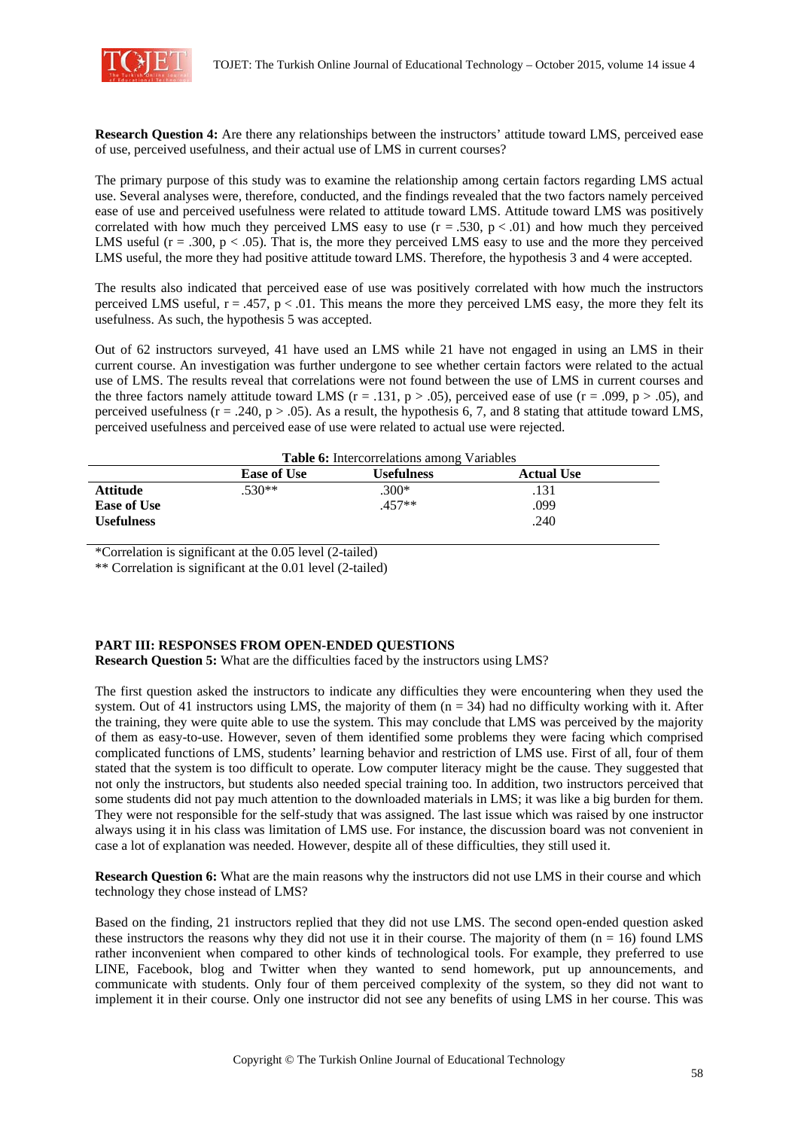

**Research Question 4:** Are there any relationships between the instructors' attitude toward LMS, perceived ease of use, perceived usefulness, and their actual use of LMS in current courses?

The primary purpose of this study was to examine the relationship among certain factors regarding LMS actual use. Several analyses were, therefore, conducted, and the findings revealed that the two factors namely perceived ease of use and perceived usefulness were related to attitude toward LMS. Attitude toward LMS was positively correlated with how much they perceived LMS easy to use  $(r = .530, p < .01)$  and how much they perceived LMS useful ( $r = .300$ ,  $p < .05$ ). That is, the more they perceived LMS easy to use and the more they perceived LMS useful, the more they had positive attitude toward LMS. Therefore, the hypothesis 3 and 4 were accepted.

The results also indicated that perceived ease of use was positively correlated with how much the instructors perceived LMS useful,  $r = .457$ ,  $p < .01$ . This means the more they perceived LMS easy, the more they felt its usefulness. As such, the hypothesis 5 was accepted.

Out of 62 instructors surveyed, 41 have used an LMS while 21 have not engaged in using an LMS in their current course. An investigation was further undergone to see whether certain factors were related to the actual use of LMS. The results reveal that correlations were not found between the use of LMS in current courses and the three factors namely attitude toward LMS ( $r = .131$ ,  $p > .05$ ), perceived ease of use ( $r = .099$ ,  $p > .05$ ), and perceived usefulness ( $r = .240$ ,  $p > .05$ ). As a result, the hypothesis 6, 7, and 8 stating that attitude toward LMS, perceived usefulness and perceived ease of use were related to actual use were rejected.

| <b>Table 6:</b> Intercorrelations among Variables |                    |                   |                   |  |  |
|---------------------------------------------------|--------------------|-------------------|-------------------|--|--|
|                                                   | <b>Ease of Use</b> | <b>Usefulness</b> | <b>Actual Use</b> |  |  |
| <b>Attitude</b>                                   | $.530**$           | .300*             | .131              |  |  |
| <b>Ease of Use</b>                                |                    | $.457**$          | .099              |  |  |
| <b>Usefulness</b>                                 |                    |                   | .240              |  |  |

\*Correlation is significant at the 0.05 level (2-tailed)

\*\* Correlation is significant at the 0.01 level (2-tailed)

# **PART III: RESPONSES FROM OPEN-ENDED QUESTIONS**

**Research Question 5:** What are the difficulties faced by the instructors using LMS?

The first question asked the instructors to indicate any difficulties they were encountering when they used the system. Out of 41 instructors using LMS, the majority of them  $(n = 34)$  had no difficulty working with it. After the training, they were quite able to use the system. This may conclude that LMS was perceived by the majority of them as easy-to-use. However, seven of them identified some problems they were facing which comprised complicated functions of LMS, students' learning behavior and restriction of LMS use. First of all, four of them stated that the system is too difficult to operate. Low computer literacy might be the cause. They suggested that not only the instructors, but students also needed special training too. In addition, two instructors perceived that some students did not pay much attention to the downloaded materials in LMS; it was like a big burden for them. They were not responsible for the self-study that was assigned. The last issue which was raised by one instructor always using it in his class was limitation of LMS use. For instance, the discussion board was not convenient in case a lot of explanation was needed. However, despite all of these difficulties, they still used it.

**Research Question 6:** What are the main reasons why the instructors did not use LMS in their course and which technology they chose instead of LMS?

Based on the finding, 21 instructors replied that they did not use LMS. The second open-ended question asked these instructors the reasons why they did not use it in their course. The majority of them  $(n = 16)$  found LMS rather inconvenient when compared to other kinds of technological tools. For example, they preferred to use LINE, Facebook, blog and Twitter when they wanted to send homework, put up announcements, and communicate with students. Only four of them perceived complexity of the system, so they did not want to implement it in their course. Only one instructor did not see any benefits of using LMS in her course. This was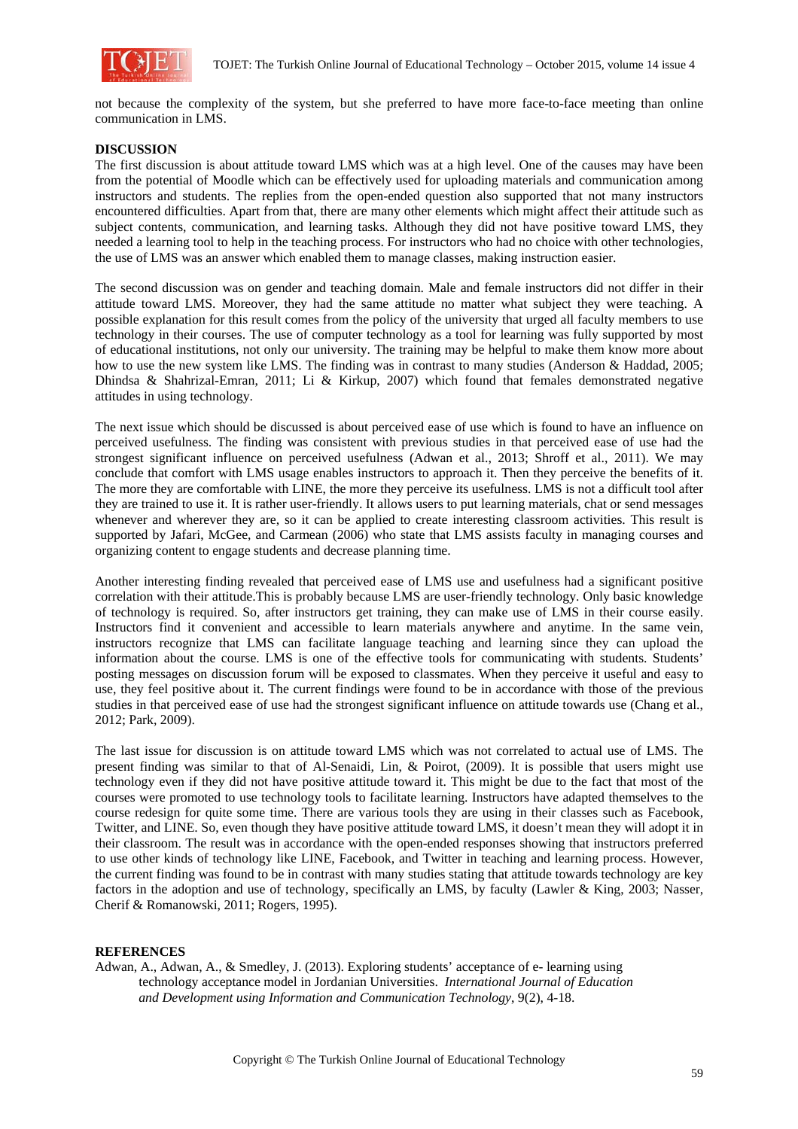

not because the complexity of the system, but she preferred to have more face-to-face meeting than online communication in LMS.

### **DISCUSSION**

The first discussion is about attitude toward LMS which was at a high level. One of the causes may have been from the potential of Moodle which can be effectively used for uploading materials and communication among instructors and students. The replies from the open-ended question also supported that not many instructors encountered difficulties. Apart from that, there are many other elements which might affect their attitude such as subject contents, communication, and learning tasks. Although they did not have positive toward LMS, they needed a learning tool to help in the teaching process. For instructors who had no choice with other technologies, the use of LMS was an answer which enabled them to manage classes, making instruction easier.

The second discussion was on gender and teaching domain. Male and female instructors did not differ in their attitude toward LMS. Moreover, they had the same attitude no matter what subject they were teaching. A possible explanation for this result comes from the policy of the university that urged all faculty members to use technology in their courses. The use of computer technology as a tool for learning was fully supported by most of educational institutions, not only our university. The training may be helpful to make them know more about how to use the new system like LMS. The finding was in contrast to many studies (Anderson & Haddad, 2005; Dhindsa & Shahrizal-Emran, 2011; Li & Kirkup, 2007) which found that females demonstrated negative attitudes in using technology.

The next issue which should be discussed is about perceived ease of use which is found to have an influence on perceived usefulness. The finding was consistent with previous studies in that perceived ease of use had the strongest significant influence on perceived usefulness (Adwan et al., 2013; Shroff et al., 2011). We may conclude that comfort with LMS usage enables instructors to approach it. Then they perceive the benefits of it. The more they are comfortable with LINE, the more they perceive its usefulness. LMS is not a difficult tool after they are trained to use it. It is rather user-friendly. It allows users to put learning materials, chat or send messages whenever and wherever they are, so it can be applied to create interesting classroom activities. This result is supported by Jafari, McGee, and Carmean (2006) who state that LMS assists faculty in managing courses and organizing content to engage students and decrease planning time.

Another interesting finding revealed that perceived ease of LMS use and usefulness had a significant positive correlation with their attitude.This is probably because LMS are user-friendly technology. Only basic knowledge of technology is required. So, after instructors get training, they can make use of LMS in their course easily. Instructors find it convenient and accessible to learn materials anywhere and anytime. In the same vein, instructors recognize that LMS can facilitate language teaching and learning since they can upload the information about the course. LMS is one of the effective tools for communicating with students. Students' posting messages on discussion forum will be exposed to classmates. When they perceive it useful and easy to use, they feel positive about it. The current findings were found to be in accordance with those of the previous studies in that perceived ease of use had the strongest significant influence on attitude towards use (Chang et al., 2012; Park, 2009).

The last issue for discussion is on attitude toward LMS which was not correlated to actual use of LMS. The present finding was similar to that of Al-Senaidi, Lin, & Poirot, (2009). It is possible that users might use technology even if they did not have positive attitude toward it. This might be due to the fact that most of the courses were promoted to use technology tools to facilitate learning. Instructors have adapted themselves to the course redesign for quite some time. There are various tools they are using in their classes such as Facebook, Twitter, and LINE. So, even though they have positive attitude toward LMS, it doesn't mean they will adopt it in their classroom. The result was in accordance with the open-ended responses showing that instructors preferred to use other kinds of technology like LINE, Facebook, and Twitter in teaching and learning process. However, the current finding was found to be in contrast with many studies stating that attitude towards technology are key factors in the adoption and use of technology, specifically an LMS, by faculty (Lawler & King, 2003; Nasser, Cherif & Romanowski, 2011; Rogers, 1995).

## **REFERENCES**

Adwan, A., Adwan, A., & Smedley, J. (2013). Exploring students' acceptance of e- learning using technology acceptance model in Jordanian Universities. *International Journal of Education and Development using Information and Communication Technology*, 9(2), 4-18.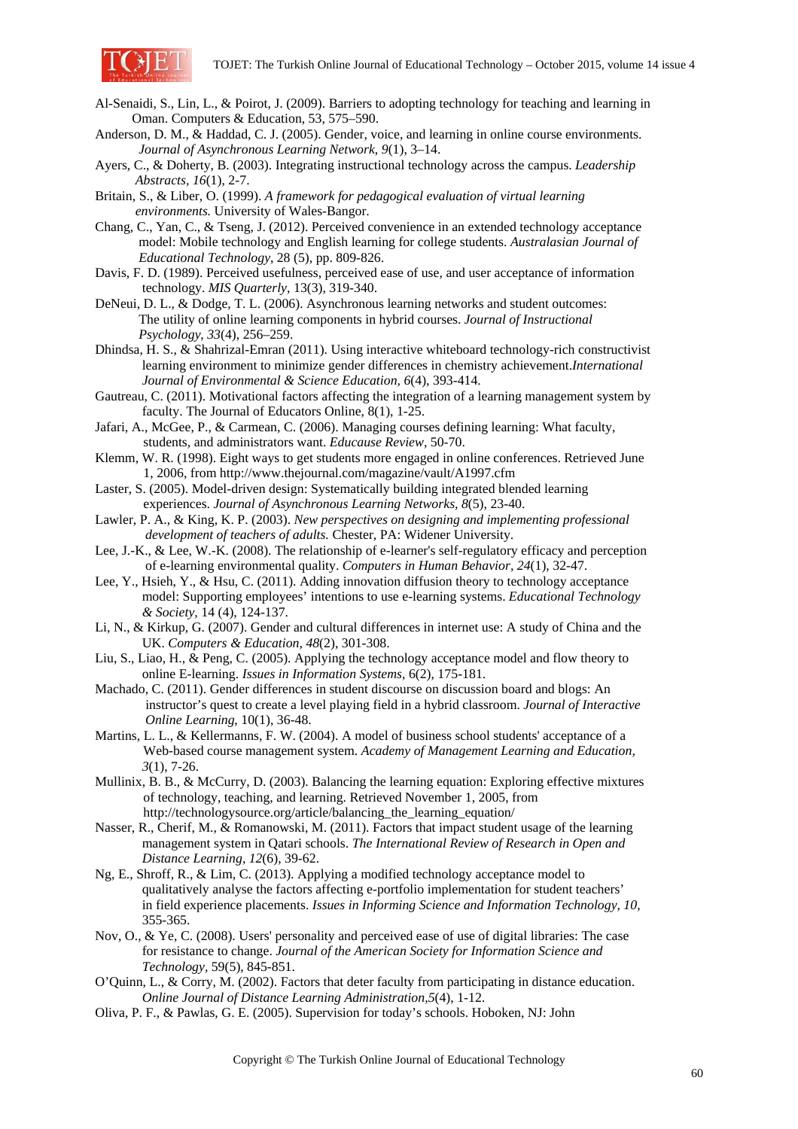

- Al-Senaidi, S., Lin, L., & Poirot, J. (2009). Barriers to adopting technology for teaching and learning in Oman. Computers & Education, 53, 575–590.
- Anderson, D. M., & Haddad, C. J. (2005). Gender, voice, and learning in online course environments.  *Journal of Asynchronous Learning Network*, *9*(1), 3–14.
- Ayers, C., & Doherty, B. (2003). Integrating instructional technology across the campus. *Leadership Abstracts, 16*(1), 2-7.
- Britain, S., & Liber, O. (1999). *A framework for pedagogical evaluation of virtual learning environments.* University of Wales-Bangor.
- Chang, C., Yan, C., & Tseng, J. (2012). Perceived convenience in an extended technology acceptance model: Mobile technology and English learning for college students. *Australasian Journal of Educational Technology*, 28 (5), pp. 809-826.
- Davis, F. D. (1989). Perceived usefulness, perceived ease of use, and user acceptance of information technology. *MIS Quarterly,* 13(3), 319-340.
- DeNeui, D. L., & Dodge, T. L. (2006). Asynchronous learning networks and student outcomes: The utility of online learning components in hybrid courses. *Journal of Instructional Psychology*, *33*(4), 256–259.
- Dhindsa, H. S., & Shahrizal-Emran (2011). Using interactive whiteboard technology-rich constructivist learning environment to minimize gender differences in chemistry achievement.*International Journal of Environmental & Science Education, 6*(4), 393-414.
- Gautreau, C. (2011). Motivational factors affecting the integration of a learning management system by faculty. The Journal of Educators Online, 8(1), 1-25.
- Jafari, A., McGee, P., & Carmean, C. (2006). Managing courses defining learning: What faculty, students, and administrators want. *Educause Review,* 50-70.
- Klemm, W. R. (1998). Eight ways to get students more engaged in online conferences. Retrieved June 1, 2006, from http://www.thejournal.com/magazine/vault/A1997.cfm
- Laster, S. (2005). Model-driven design: Systematically building integrated blended learning experiences. *Journal of Asynchronous Learning Networks, 8*(5), 23-40.
- Lawler, P. A., & King, K. P. (2003). *New perspectives on designing and implementing professional development of teachers of adults.* Chester, PA: Widener University.
- Lee, J.-K., & Lee, W.-K. (2008). The relationship of e-learner's self-regulatory efficacy and perception of e-learning environmental quality. *Computers in Human Behavior, 24*(1), 32-47.
- Lee, Y., Hsieh, Y., & Hsu, C. (2011). Adding innovation diffusion theory to technology acceptance model: Supporting employees' intentions to use e-learning systems. *Educational Technology & Society*, 14 (4), 124-137.
- Li, N., & Kirkup, G. (2007). Gender and cultural differences in internet use: A study of China and the UK. *Computers & Education, 48*(2), 301-308.
- Liu, S., Liao, H., & Peng, C. (2005). Applying the technology acceptance model and flow theory to online E-learning. *Issues in Information Systems*, 6(2), 175-181.
- Machado, C. (2011). Gender differences in student discourse on discussion board and blogs: An instructor's quest to create a level playing field in a hybrid classroom. *Journal of Interactive Online Learning*, 10(1), 36-48.
- Martins, L. L., & Kellermanns, F. W. (2004). A model of business school students' acceptance of a Web-based course management system. *Academy of Management Learning and Education, 3*(1), 7-26.
- Mullinix, B. B., & McCurry, D. (2003). Balancing the learning equation: Exploring effective mixtures of technology, teaching, and learning. Retrieved November 1, 2005, from http://technologysource.org/article/balancing the learning equation/
- Nasser, R., Cherif, M., & Romanowski, M. (2011). Factors that impact student usage of the learning management system in Qatari schools. *The International Review of Research in Open and Distance Learning, 12*(6), 39-62.
- Ng, E., Shroff, R., & Lim, C. (2013). Applying a modified technology acceptance model to qualitatively analyse the factors affecting e-portfolio implementation for student teachers' in field experience placements. *Issues in Informing Science and Information Technology, 10,* 355-365.
- Nov, O., & Ye, C. (2008). Users' personality and perceived ease of use of digital libraries: The case for resistance to change. *Journal of the American Society for Information Science and Technology,* 59(5), 845-851.
- O'Quinn, L., & Corry, M. (2002). Factors that deter faculty from participating in distance education.  *Online Journal of Distance Learning Administration,5*(4), 1-12.
- Oliva, P. F., & Pawlas, G. E. (2005). Supervision for today's schools. Hoboken, NJ: John